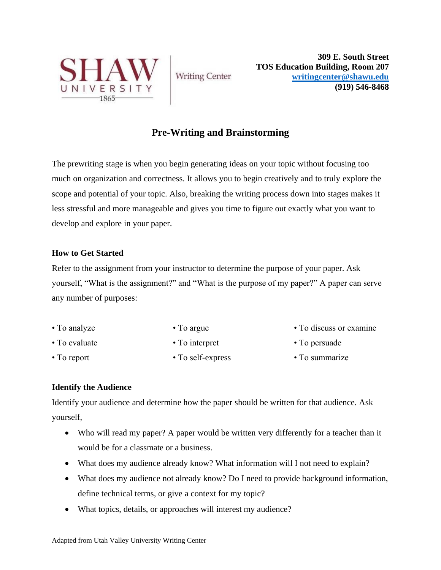

**Writing Center** 

**309 E. South Street TOS Education Building, Room 207 [writingcenter@shawu.edu](mailto:writingcenter@shawu.edu) (919) 546-8468**

# **Pre-Writing and Brainstorming**

The prewriting stage is when you begin generating ideas on your topic without focusing too much on organization and correctness. It allows you to begin creatively and to truly explore the scope and potential of your topic. Also, breaking the writing process down into stages makes it less stressful and more manageable and gives you time to figure out exactly what you want to develop and explore in your paper.

# **How to Get Started**

Refer to the assignment from your instructor to determine the purpose of your paper. Ask yourself, "What is the assignment?" and "What is the purpose of my paper?" A paper can serve any number of purposes:

• To analyze • To evaluate • To report • To argue • To interpret • To self-express • To discuss or examine • To persuade • To summarize

# **Identify the Audience**

Identify your audience and determine how the paper should be written for that audience. Ask yourself,

- Who will read my paper? A paper would be written very differently for a teacher than it would be for a classmate or a business.
- What does my audience already know? What information will I not need to explain?
- What does my audience not already know? Do I need to provide background information, define technical terms, or give a context for my topic?
- What topics, details, or approaches will interest my audience?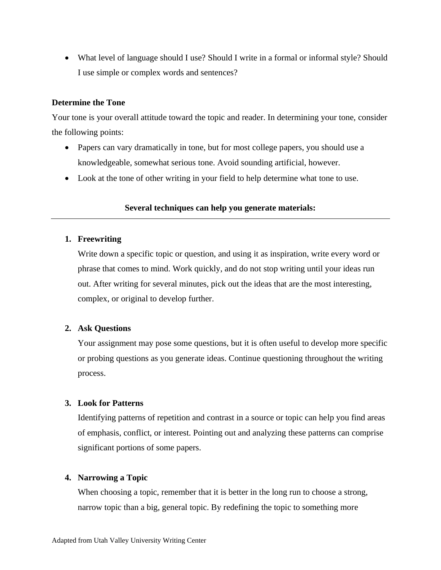• What level of language should I use? Should I write in a formal or informal style? Should I use simple or complex words and sentences?

#### **Determine the Tone**

Your tone is your overall attitude toward the topic and reader. In determining your tone, consider the following points:

- Papers can vary dramatically in tone, but for most college papers, you should use a knowledgeable, somewhat serious tone. Avoid sounding artificial, however.
- Look at the tone of other writing in your field to help determine what tone to use.

## **Several techniques can help you generate materials:**

#### **1. Freewriting**

Write down a specific topic or question, and using it as inspiration, write every word or phrase that comes to mind. Work quickly, and do not stop writing until your ideas run out. After writing for several minutes, pick out the ideas that are the most interesting, complex, or original to develop further.

## **2. Ask Questions**

Your assignment may pose some questions, but it is often useful to develop more specific or probing questions as you generate ideas. Continue questioning throughout the writing process.

## **3. Look for Patterns**

Identifying patterns of repetition and contrast in a source or topic can help you find areas of emphasis, conflict, or interest. Pointing out and analyzing these patterns can comprise significant portions of some papers.

#### **4. Narrowing a Topic**

When choosing a topic, remember that it is better in the long run to choose a strong, narrow topic than a big, general topic. By redefining the topic to something more